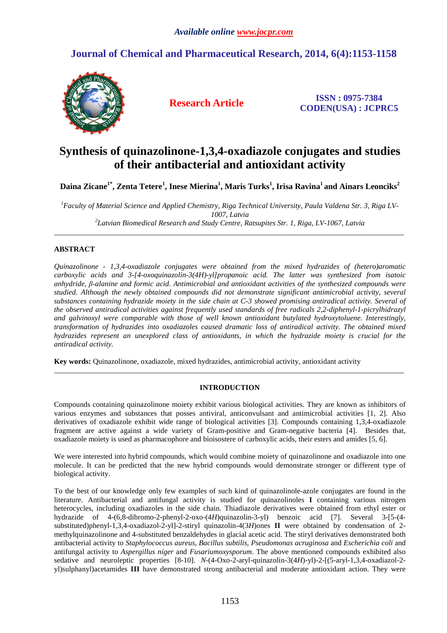# **Journal of Chemical and Pharmaceutical Research, 2014, 6(4):1153-1158**



**Research Article ISSN : 0975-7384 CODEN(USA) : JCPRC5**

# **Synthesis of quinazolinone-1,3,4-oxadiazole conjugates and studies of their antibacterial and antioxidant activity**

**Daina Zicane1\*, Zenta Tetere<sup>1</sup> , Inese Mierina<sup>1</sup> , Maris Turks<sup>1</sup> , Irisa Ravina<sup>1</sup>and Ainars Leonciks<sup>2</sup>**

*<sup>1</sup>Faculty of Material Science and Applied Chemistry, Riga Technical University, Paula Valdena Str. 3, Riga LV-1007, Latvia 2 Latvian Biomedical Research and Study Centre, Ratsupites Str. 1, Riga, LV-1067, Latvia* 

\_\_\_\_\_\_\_\_\_\_\_\_\_\_\_\_\_\_\_\_\_\_\_\_\_\_\_\_\_\_\_\_\_\_\_\_\_\_\_\_\_\_\_\_\_\_\_\_\_\_\_\_\_\_\_\_\_\_\_\_\_\_\_\_\_\_\_\_\_\_\_\_\_\_\_\_\_\_\_\_\_\_\_\_\_\_\_\_\_\_\_\_\_\_\_\_\_

## **ABSTRACT**

*Quinazolinone - 1,3,4-oxadiazole conjugates were obtained from the mixed hydrazides of (hetero)aromatic carboxylic acids and 3-[4-oxoquinazolin-3(4H)-yl]propanoic acid. The latter was synthesized from isatoic anhydride, β-alanine and formic acid. Antimicrobial and antioxidant activities of the synthesized compounds were studied. Although the newly obtained compounds did not demonstrate significant antimicrobial activity, several substances containing hydrazide moiety in the side chain at C-3 showed promising antiradical activity. Several of the observed antiradical activities against frequently used standards of free radicals 2,2-diphenyl-1-picrylhidrazyl and galvinoxyl were comparable with those of well known antioxidant butylated hydroxytoluene. Interestingly, transformation of hydrazides into oxadiazoles caused dramatic loss of antiradical activity. The obtained mixed hydrazides represent an unexplored class of antioxidants, in which the hydrazide moiety is crucial for the antiradical activity.* 

**Key words:** Quinazolinone, oxadiazole, mixed hydrazides, antimicrobial activity, antioxidant activity

## **INTRODUCTION**

\_\_\_\_\_\_\_\_\_\_\_\_\_\_\_\_\_\_\_\_\_\_\_\_\_\_\_\_\_\_\_\_\_\_\_\_\_\_\_\_\_\_\_\_\_\_\_\_\_\_\_\_\_\_\_\_\_\_\_\_\_\_\_\_\_\_\_\_\_\_\_\_\_\_\_\_\_\_\_\_\_\_\_\_\_\_\_\_\_\_\_\_\_\_\_\_\_

Compounds containing quinazolinone moiety exhibit various biological activities. They are known as inhibitors of various enzymes and substances that posses antiviral, anticonvulsant and antimicrobial activities [1, 2]. Also derivatives of oxadiazole exhibit wide range of biological activities [3]. Compounds containing 1,3,4-oxadiazole fragment are active against a wide variety of Gram-positive and Gram-negative bacteria [4]. Besides that, oxadiazole moiety is used as pharmacophore and bioisostere of carboxylic acids, their esters and amides [5, 6].

We were interested into hybrid compounds, which would combine moiety of quinazolinone and oxadiazole into one molecule. It can be predicted that the new hybrid compounds would demonstrate stronger or different type of biological activity.

To the best of our knowledge only few examples of such kind of quinazolinole-azole conjugates are found in the literature. Antibacterial and antifungal activity is studied for quinazolinoles **I** containing various nitrogen heterocycles, including oxadiazoles in the side chain. Thiadiazole derivatives were obtained from ethyl ester or hydrazide of 4-(6,8-dibromo-2-phenyl-2-oxo-(4*H*)quinazolin-3-yl) benzoic acid [7]. Several 3-[5-(4 substituted)phenyl-1,3,4-oxadiazol-2-yl]-2-stiryl quinazolin-4(3*H*)ones **II** were obtained by condensation of 2 methylquinazolinone and 4-substituted benzaldehydes in glacial acetic acid. The stiryl derivatives demonstrated both antibacterial activity to *Staphylococcus aureus*, *Bacillus subtilis*, *Pseudomonas acruginosa* and *Escherichia coli* and antifungal activity to *Aspergillus niger* and *Fusariumoxysporum*. The above mentioned compounds exhibited also sedative and neuroleptic properties [8-10]. *N*-(4-Oxo-2-aryl-quinazolin-3(4*H*)-yl)-2-[(5-aryl-1,3,4-oxadiazol-2 yl)sulphanyl)acetamides **III** have demonstrated strong antibacterial and moderate antioxidant action. They were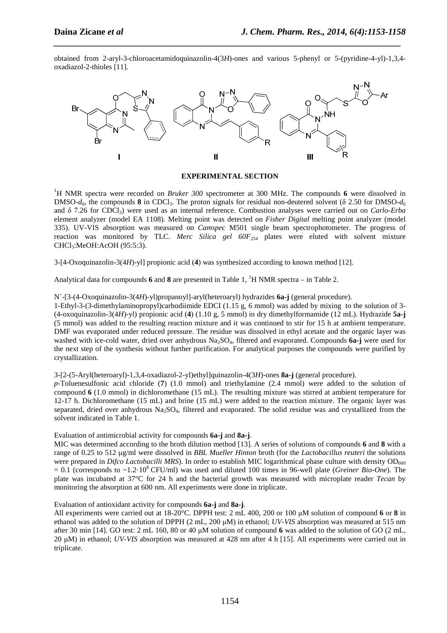obtained from 2-aryl-3-chloroacetamidoquinazolin-4(3*H*)-ones and various 5-phenyl or 5-(pyridine-4-yl)-1,3,4 oxadiazol-2-thioles [11].

*\_\_\_\_\_\_\_\_\_\_\_\_\_\_\_\_\_\_\_\_\_\_\_\_\_\_\_\_\_\_\_\_\_\_\_\_\_\_\_\_\_\_\_\_\_\_\_\_\_\_\_\_\_\_\_\_\_\_\_\_\_\_\_\_\_\_\_\_\_\_\_\_\_\_\_\_\_*



## **EXPERIMENTAL SECTION**

<sup>1</sup>H NMR spectra were recorded on *Bruker 300* spectrometer at 300 MHz. The compounds 6 were dissolved in DMSO- $d_6$ , the compounds **8** in CDCl<sub>3</sub>. The proton signals for residual non-deutered solvent ( $\delta$  2.50 for DMSO- $d_6$ and δ 7.26 for CDCl3) were used as an internal reference. Combustion analyses were carried out on *Carlo-Erba* element analyzer (model EA 1108). Melting point was detected on *Fisher Digital* melting point analyzer (model 335). UV-VIS absorption was measured on *Camspec* M501 single beam spectrophotometer. The progress of reaction was monitored by TLC. *Merc Silica gel 60F254* plates were eluted with solvent mixture CHCl3:MeOH:AcOH (95:5:3).

3-[4-Oxoquinazolin-3(4*H*)-yl] propionic acid (**4**) was synthesized according to known method [12].

Analytical data for compounds 6 and 8 are presented in Table 1, <sup>1</sup>H NMR spectra – in Table 2.

N`-[3-(4-Oxoquinazolin-3(4*H*)-yl)propanoyl]-aryl(heteroaryl) hydrazides **6a-j** (general procedure).

1-Ethyl-3-(3-dimethylaminopropyl)carbodiimide EDCI (1.15 g, 6 mmol) was added by mixing to the solution of 3- (4-oxoquinazolin-3(4*H*)-yl) propionic acid (**4**) (1.10 g, 5 mmol) in dry dimethylformamide (12 mL). Hydrazide **5a-j** (5 mmol) was added to the resulting reaction mixture and it was continued to stir for 15 h at ambient temperature. DMF was evaporated under reduced pressure. The residue was dissolved in ethyl acetate and the organic layer was washed with ice-cold water, dried over anhydrous Na<sub>2</sub>SO<sub>4</sub>, filtered and evaporated. Compounds 6a-j were used for the next step of the synthesis without further purification. For analytical purposes the compounds were purified by crystallization.

3-[2-(5-Aryl(heteroaryl)-1,3,4-oxadiazol-2-yl)ethyl]quinazolin-4(3*H*)-ones **8a-j** (general procedure).

*p*-Toluenesulfonic acid chloride (**7**) (1.0 mmol) and triethylamine (2.4 mmol) were added to the solution of compound **6** (1.0 mmol) in dichloromethane (15 mL). The resulting mixture was stirred at ambient temperature for 12-17 h. Dichloromethane (15 mL) and brine (15 mL) were added to the reaction mixture. The organic layer was separated, dried over anhydrous  $Na<sub>2</sub>SO<sub>4</sub>$ , filtered and evaporated. The solid residue was and crystallized from the solvent indicated in Table 1.

Evaluation of antimicrobial activity for compounds **6a-j** and **8a-j**.

MIC was determined according to the broth dilution method [13]. A series of solutions of compounds **6** and **8** with a range of 0.25 to 512 µg/ml were dissolved in *BBL Mueller Hinton* broth (for the *Lactobacillus reuteri* the solutions were prepared in *Difco Lactobacilli MRS*). In order to establish MIC logarithmical phase culture with density OD<sub>600</sub>  $= 0.1$  (corresponds to  $\sim 1.2 \cdot 10^8$  CFU/ml) was used and diluted 100 times in 96-well plate (*Greiner Bio-One*). The plate was incubated at 37°C for 24 h and the bacterial growth was measured with microplate reader *Tecan* by monitoring the absorption at 600 nm. All experiments were done in triplicate.

Evaluation of antioxidant activity for compounds **6a-j** and **8a-j**.

All experiments were carried out at 18-20°C. DPPH test: 2 mL 400, 200 or 100 µM solution of compound **6** or **8** in ethanol was added to the solution of DPPH (2 mL, 200 µM) in ethanol; *UV-VIS* absorption was measured at 515 nm after 30 min [14]. GO test: 2 mL 160, 80 or 40 µM solution of compound **6** was added to the solution of GO (2 mL, 20 µM) in ethanol; *UV-VIS* absorption was measured at 428 nm after 4 h [15]. All experiments were carried out in triplicate.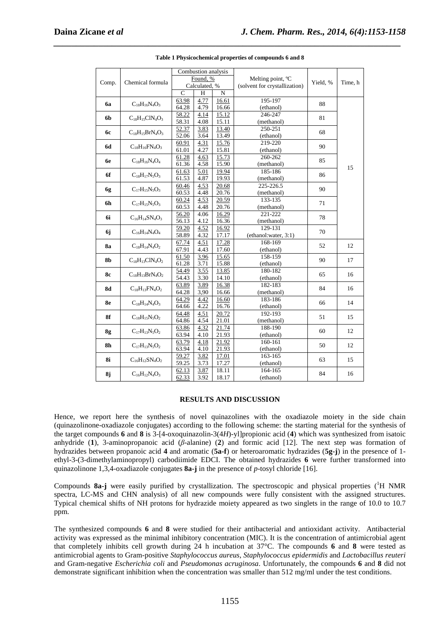|                |                        | Combustion analysis                  |              |                |                               | Yield, % | Time, h |
|----------------|------------------------|--------------------------------------|--------------|----------------|-------------------------------|----------|---------|
| Comp.          | Chemical formula       | Found, %                             |              |                | Melting point, °C             |          |         |
|                |                        | Calculated, %                        |              |                | (solvent for crystallization) |          |         |
|                |                        | C                                    | Н            | $\mathbf N$    |                               |          |         |
| 6a             | $C_{18}H_{16}N_4O_3$   | 63.98                                | 4.77         | 16.61          | 195-197                       | 88       |         |
|                |                        | 64.28                                | 4.79         | 16.66          | (ethanol)                     |          |         |
| 6 <sub>b</sub> | $C_{18}H_{15}C1N_4O_3$ | 58.22                                | 4.14         | 15.12          | 246-247                       | 81       |         |
|                |                        | 58.31                                | 4.08         | 15.11          | (methanol)                    |          |         |
| <b>6c</b>      | $C_{18}H_{15}BrN_4O_3$ | 52.37                                | 3.83         | 13.40          | 250-251                       | 68       |         |
|                |                        | 52.06                                | 3.64         | 13.49          | (ethanol)<br>219-220          |          |         |
| 6d             | $C_{18}H_{16}FN_4O_3$  | 60.91                                | 4.31<br>4.27 | 15.76<br>15.81 |                               | 90       |         |
|                |                        | 61.01                                |              | 15.73          | (ethanol)<br>260-262          |          |         |
| 6e             | $C_{18}H_{16}N_4O_4$   | 61.28<br>61.36                       | 4.63<br>4.58 | 15.90          | (methanol)                    | 85       |         |
|                |                        | 61.63                                | 5.01         | 19.94          | 185-186                       |          | 15      |
| 6f             | $C_{18}H_{17}N_5O_3$   | 61.53                                | 4.87         | 19.93          | (methanol)                    | 86       |         |
|                |                        | 60.46                                | 4.53         | 20.68          | 225-226.5                     |          |         |
| 6g             | $C_{17}H_{15}N_5O_3$   | 60.53                                | 4.48         | 20.76          | (methanol)                    | 90       |         |
|                |                        | 60.24                                | 4.53         | 20.59          | 133-135                       |          |         |
| 6h             | $C_{17}H_{15}N_5O_3$   | 60.53<br>4.48<br>20.76<br>(methanol) |              | 71             |                               |          |         |
|                |                        | 56.20                                | 4.06         | 16.29          | 221-222                       |          |         |
| 6i             | $C_{16}H_{14}SN_4O_3$  | 56.13                                | 4.12         | 16.36          | (methanol)                    | 78       |         |
| 6j             | $C_{16}H_{14}N_4O_4$   | 59.20                                | 4.52         | 16.92          | 129-131                       | 70       |         |
|                |                        | 58.89                                | 4.32         | 17.17          | (ethanol:water, 3:1)          |          |         |
| 8a             | $C_{18}H_{14}N_4O_2$   | 67.74                                | 4.51         | 17.28          | 168-169                       | 52       | 12      |
|                |                        | 67.91                                | 4.43         | 17.60          | (ethanol)                     |          |         |
| 8b             | $C_{18}H_{13}C1N_4O_2$ | 61.50                                | 3.96         | 15.65          | 158-159                       | 90       | 17      |
|                |                        | 61.28                                | 3.71         | 15.88          | (ethanol)                     |          |         |
| <b>8c</b>      | $C_{18}H_{13}BrN_4O_2$ | 54.49                                | 3.55         | 13.85          | 180-182                       | 65       | 16      |
|                |                        | 54.43                                | 3.30         | 14.10          | (ethanol)                     |          |         |
| <b>8d</b>      | $C_{18}H_{13}FN_4O_2$  | 63.89                                | 3.89         | 16.38          | 182-183                       | 84       | 16      |
|                |                        | 64.28                                | 3,90         | 16.66          | (methanol)<br>183-186         |          |         |
| 8e             | $C_{18}H_{14}N_4O_3$   | 64.29<br>64.66                       | 4.42<br>4.22 | 16.60<br>16.76 | (ethanol)                     | 66       | 14      |
|                |                        | 64.48                                | 4.51         | 20.72          | 192-193                       |          |         |
| 8f             | $C_{18}H_{15}N_5O_2$   | 64.86                                | 4.54         | 21.01          | (methanol)                    | 51       | 15      |
|                |                        | 63.86                                | 4.32         | 21.74          | 188-190                       |          |         |
| 8g             | $C_{17}H_{13}N_5O_2$   | 63.94                                | 4.10         | 21.93          | (ethanol)                     | 60       | 12      |
|                |                        | 63.79                                | 4.18         | 21.92          | 160-161                       |          | 12      |
| 8h             | $C_{17}H_{13}N_5O_2$   | 63.94                                | 4.10         | 21.93          | (ethanol)                     | 50       |         |
|                | $C_{16}H_{12}SN_4O_2$  | 59.27                                | 3.82         | 17.01          | 163-165                       |          | 15      |
| 8i             |                        | 59.25                                | 3.73         | 17.27          | (ethanol)                     | 63       |         |
|                | $C_{16}H_{12}N_4O_3$   | 62.13                                | 3.87         | 18.11          | 164-165                       |          |         |
| 8j             |                        | 62.33                                | 3.92         | 18.17          | (ethanol)                     | 84       | 16      |

**Table 1 Physicochemical properties of compounds 6 and 8** 

*\_\_\_\_\_\_\_\_\_\_\_\_\_\_\_\_\_\_\_\_\_\_\_\_\_\_\_\_\_\_\_\_\_\_\_\_\_\_\_\_\_\_\_\_\_\_\_\_\_\_\_\_\_\_\_\_\_\_\_\_\_\_\_\_\_\_\_\_\_\_\_\_\_\_\_\_\_*

## **RESULTS AND DISCUSSION**

Hence, we report here the synthesis of novel quinazolines with the oxadiazole moiety in the side chain (quinazolinone-oxadiazole conjugates) according to the following scheme: the starting material for the synthesis of the target compounds **6** and **8** is 3-[4-oxoquinazolin-3(4*H*)-yl]propionic acid (**4**) which was synthesized from isatoic anhydride (**1**), 3-aminopropanoic acid (*β*-alanine) (**2**) and formic acid [12]. The next step was formation of hydrazides between propanoic acid **4** and aromatic (**5a-f**) or heteroaromatic hydrazides (**5g-j**) in the presence of 1 ethyl-3-(3-dimethylaminopropyl) carbodiimide EDCI. The obtained hydrazides **6** were further transformed into quinazolinone 1,3,4-oxadiazole conjugates **8a-j** in the presence of *p*-tosyl chloride [16].

Compounds 8a-j were easily purified by crystallization. The spectroscopic and physical properties (<sup>1</sup>H NMR spectra, LC-MS and CHN analysis) of all new compounds were fully consistent with the assigned structures. Typical chemical shifts of NH protons for hydrazide moiety appeared as two singlets in the range of 10.0 to 10.7 ppm.

The synthesized compounds **6** and **8** were studied for their antibacterial and antioxidant activity. Antibacterial activity was expressed as the minimal inhibitory concentration (MIC). It is the concentration of antimicrobial agent that completely inhibits cell growth during 24 h incubation at 37°C. The compounds **6** and **8** were tested as antimicrobial agents to Gram-positive *Staphylococcus aureus*, *Staphylococcus epidermidis* and *Lactobacillus reuteri* and Gram-negative *Escherichia coli* and *Pseudomonas acruginosa*. Unfortunately, the compounds **6** and **8** did not demonstrate significant inhibition when the concentration was smaller than 512 mg/ml under the test conditions.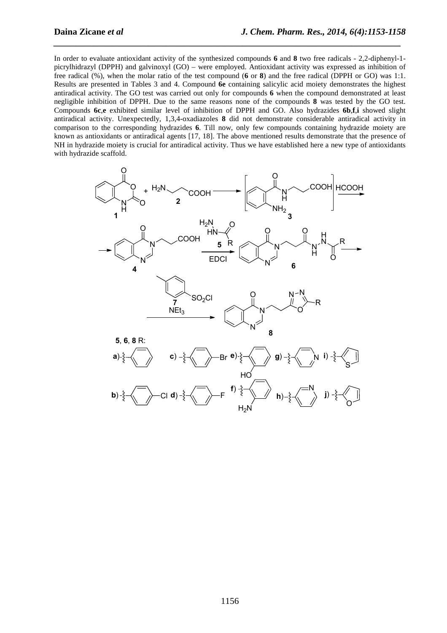In order to evaluate antioxidant activity of the synthesized compounds **6** and **8** two free radicals - 2,2-diphenyl-1 picrylhidrazyl (DPPH) and galvinoxyl (GO) – were employed. Antioxidant activity was expressed as inhibition of free radical (%), when the molar ratio of the test compound (**6** or **8**) and the free radical (DPPH or GO) was 1:1. Results are presented in Tables 3 and 4. Compound **6e** containing salicylic acid moiety demonstrates the highest antiradical activity. The GO test was carried out only for compounds **6** when the compound demonstrated at least negligible inhibition of DPPH. Due to the same reasons none of the compounds **8** was tested by the GO test. Compounds **6c**,**e** exhibited similar level of inhibition of DPPH and GO. Also hydrazides **6b**,**f**,**i** showed slight antiradical activity. Unexpectedly, 1,3,4-oxadiazoles **8** did not demonstrate considerable antiradical activity in comparison to the corresponding hydrazides **6**. Till now, only few compounds containing hydrazide moiety are known as antioxidants or antiradical agents [17, 18]. The above mentioned results demonstrate that the presence of NH in hydrazide moiety is crucial for antiradical activity. Thus we have established here a new type of antioxidants with hydrazide scaffold.

*\_\_\_\_\_\_\_\_\_\_\_\_\_\_\_\_\_\_\_\_\_\_\_\_\_\_\_\_\_\_\_\_\_\_\_\_\_\_\_\_\_\_\_\_\_\_\_\_\_\_\_\_\_\_\_\_\_\_\_\_\_\_\_\_\_\_\_\_\_\_\_\_\_\_\_\_\_*

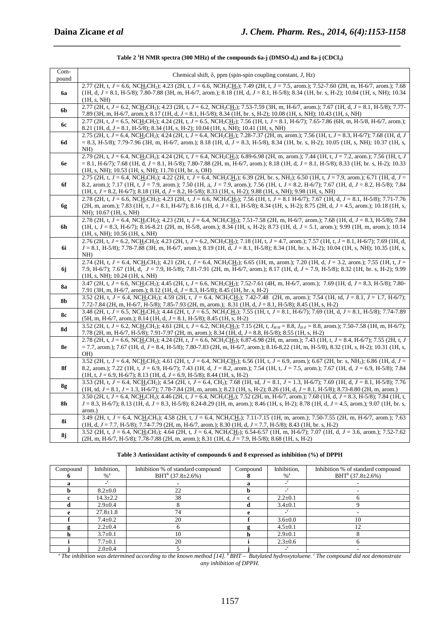| Com-<br>pound  | Chemical shift, $\delta$ , ppm (spin-spin coupling constant, J, Hz)                                                                                                                                                                                                                                      |
|----------------|----------------------------------------------------------------------------------------------------------------------------------------------------------------------------------------------------------------------------------------------------------------------------------------------------------|
|                | 2.77 (2H, t, J = 6.6, NCH <sub>2</sub> CH <sub>2</sub> ); 4.23 (2H, t, J = 6.6, NCH <sub>2</sub> CH <sub>2</sub> ); 7.49 (2H, t, J = 7.5, arom.); 7.52-7.60 (2H, m, H-6/7, arom.); 7.68                                                                                                                  |
| 6a             | (1H, d, J = 8.1, H-5/8); 7.80-7.88 (3H, m, H-6/7, arom.); 8.18 (1H, d, J = 8.1, H-5/8); 8.34 (1H, br. s, H-2); 10.04 (1H, s, NH); 10.34                                                                                                                                                                  |
|                | (1H, s, NH)                                                                                                                                                                                                                                                                                              |
| 6 <sub>b</sub> | 2.77 (2H, t, $J = 6.2$ , NCH <sub>2</sub> CH <sub>2</sub> ); 4.23 (2H, t, $J = 6.2$ , NCH <sub>2</sub> CH <sub>2</sub> ); 7.53-7.59 (3H, m, H-6/7, arom.); 7.67 (1H, d, $J = 8.1$ , H-5/8); 7.77-                                                                                                        |
|                | 7.89 (3H, m, H-6/7, arom.); 8.17 (1H, d, J = 8.1, H-5/8); 8.34 (1H, br. s, H-2); 10.08 (1H, s, NH); 10.43 (1H, s, NH)                                                                                                                                                                                    |
| <b>6c</b>      | 2.77 (2H, t, $J = 6.5$ , NCH <sub>2</sub> CH <sub>2</sub> ); 4.24 (2H, t, $J = 6.5$ , NCH <sub>2</sub> CH <sub>2</sub> ); 7.56 (1H, t, $J = 8.1$ , H $-6/7$ ); 7.65-7.86 (6H, m, H $-5/8$ , H $-6/7$ , arom.);                                                                                           |
|                | 8.21 (1H, d, $J = 8.1$ , H-5/8); 8.34 (1H, s, H-2); 10.04 (1H, s, NH); 10.41 (1H, s, NH)<br>2.75 (2H, t, $J = 6.4$ , NCH <sub>2</sub> CH <sub>2</sub> ); 4.24 (2H, t, $J = 6.4$ , NCH <sub>2</sub> CH <sub>2</sub> ); 7.28-7.37 (2H, m, arom.); 7.56 (1H, t, $J = 8.3$ , H-6/7); 7.68 (1H, d, J          |
| 6d             | $= 8.3$ , H-5/8); 7.79-7.96 (3H, m, H-6/7, arom.); 8.18 (1H, d, $J = 8.3$ , H-5/8), 8.34 (1H, br. s, H-2); 10.05 (1H, s, NH); 10.37 (1H, s,                                                                                                                                                              |
|                | NH)                                                                                                                                                                                                                                                                                                      |
|                | 2.79 (2H, t, $J = 6.4$ , NCH <sub>2</sub> CH <sub>2</sub> ); 4.24 (2H, t, $J = 6.4$ , NCH <sub>2</sub> CH <sub>2</sub> ); 6.89-6.98 (2H, m, arom.); 7.44 (1H, t, $J = 7.2$ , arom.); 7.56 (1H, t, J                                                                                                      |
| 6e             | $= 8.1, H-6/7$ ; 7.68 (1H, d, J = 8.1, H-5/8); 7.80-7.88 (2H, m, H-6/7, arom.); 8.18 (1H, d, J = 8.1, H-5/8); 8.33 (1H, br. s, H-2); 10.33                                                                                                                                                               |
|                | $(1H, s, NH)$ ; 10.53 $(1H, s, NH)$ ; 11.70 $(1H, br, s, OH)$                                                                                                                                                                                                                                            |
|                | 2.75 (2H, t, $J = 6.4$ , NCH <sub>2</sub> CH <sub>2</sub> ); 4.22 (2H, t, $J = 6.4$ , NCH <sub>2</sub> CH <sub>2</sub> ); 6.39 (2H, br. s, NH <sub>2</sub> ); 6.50 (1H, t, $J = 7.9$ , arom.); 6.71 (1H, d, $J = 2.9$                                                                                    |
| 6f             | 8.2, arom.); 7.17 (1H, t, $J = 7.9$ , arom.); 7.50 (1H, $\pi$ , $J = 7.9$ , arom.); 7.56 (1H, t, $J = 8.2$ , H-6/7); 7.67 (1H, d, $J = 8.2$ , H-5/8); 7.84                                                                                                                                               |
|                | $(1H, t, J = 8.2, H - 6/7); 8.18 (1H, d, J = 8.2, H - 5/8); 8.33 (1H, s, H - 2); 9.88 (1H, s, NH); 9.98 (1H, s, NH)$                                                                                                                                                                                     |
|                | 2.78 (2H, t, $J = 6.6$ , NCH <sub>2</sub> CH <sub>2</sub> ); 4.23 (2H, t, $J = 6.6$ , NCH <sub>2</sub> CH <sub>2</sub> ); 7.56 (1H, t, $J = 8.1$ H-6/7); 7.67 (1H, d, $J = 8.1$ , H-5/8); 7.71-7.76                                                                                                      |
| 6g             | (2H, m, arom.); 7.83 (1H, $T$ , $J = 8.1$ , H-6/7); 8.16 (1H, d, $J = 8.1$ , H-5/8); 8.34 (1H, s, H-2); 8.75 (2H, d, $J = 4.5$ , arom.); 10.18 (1H, s,                                                                                                                                                   |
|                | NH); 10.67 (1H, s, NH)<br>2.78 (2H, t, J = 6.4, NCH <sub>2</sub> CH <sub>2</sub> ); 4.23 (2H, t, J = 6.4, NCH <sub>2</sub> CH <sub>2</sub> ); 7.51-7.58 (2H, m, H-6/7, arom.); 7.68 (1H, d, J = 8.3, H-5/8); 7.84                                                                                        |
| 6h             | $(1H, t, J = 8.3, H-6/7); 8.16-8.21$ (2H, m, H-5/8, arom.); 8.34 (1H, s, H-2); 8.73 (1H, d, J = 5.1, arom.); 9.99 (1H, m, arom.); 10.14                                                                                                                                                                  |
|                | $(1H, s, NH)$ ; 10.56 $(1H, s, NH)$                                                                                                                                                                                                                                                                      |
|                | 2.76 (2H, t, $J = 6.2$ , NCH <sub>2</sub> CH <sub>2</sub> ); 4.23 (2H, t, $J = 6.2$ , NCH <sub>2</sub> CH <sub>2</sub> ); 7.18 (1H, t, $J = 4.7$ , arom.); 7.57 (1H, t, $J = 8.1$ , H-6/7); 7.69 (1H, d,                                                                                                 |
| 6i             | $J = 8.1$ , H-5/8); 7.78-7.88 (3H, m, H-6/7, arom.); 8.19 (1H, d, $J = 8.1$ , H-5/8); 8.34 (1H, br. s, H-2); 10.04 (1H, s, NH); 10.35 (1H, s,                                                                                                                                                            |
|                | $NH$ )                                                                                                                                                                                                                                                                                                   |
|                | 2.74 (2H, t, $J = 6.4$ , NCH <sub>2</sub> CH <sub>2</sub> ); 4.21 (2H, t, $J = 6.4$ , NCH <sub>2</sub> CH <sub>2</sub> ); 6.65 (1H, m, arom.); 7.20 (1H, d, $J = 3.2$ , arom.); 7.55 (1H, t, $J = 2.2$                                                                                                   |
| 6j             | 7.9, H-6/7); 7.67 (1H, d, J = 7.9, H-5/8); 7.81-7.91 (2H, m, H-6/7, arom.); 8.17 (1H, d, J = 7.9, H-5/8); 8.32 (1H, br. s, H-2); 9.99                                                                                                                                                                    |
|                | $(1H, s, NH)$ ; 10.24 $(1H, s, NH)$<br>3.47 (2H, t, J = 6.6, NCH <sub>2</sub> CH <sub>2</sub> ); 4.45 (2H, t, J = 6.6, NCH <sub>2</sub> CH <sub>2</sub> ); 7.52-7.61 (4H, m, H-6/7, arom.); 7.69 (1H, d, J = 8.3, H-5/8); 7.80-                                                                          |
| <b>8a</b>      | 7.91 (3H, m, H-6/7, arom.); 8.12 (1H, d, $J = 8.3$ , H-5/8); 8.45 (1H, br. s, H-2)                                                                                                                                                                                                                       |
|                | 3.52 (2H, t, $J = 6.4$ , NCH <sub>2</sub> CH <sub>2</sub> ); 4.59 (2H, t, $J = 6.4$ , NCH <sub>2</sub> CH <sub>2</sub> ); 7.42-7.48 (2H, m, arom.); 7.54 (1H, td, $J = 8.1$ , $J = 1.7$ , H-6/7);                                                                                                        |
| 8b             | 7.72-7.84 (2H, m, H-6/7, H-5/8); 7.85-7.93 (2H, m, arom.); 8.31 (1H, d, J = 8.1, H-5/8); 8.45 (1H, s, H-2)                                                                                                                                                                                               |
| <b>8c</b>      | 3.48 (2H, t, J = 6.5, NCH <sub>2</sub> CH <sub>2</sub> ); 4.44 (2H, t, J = 6.5, NCH <sub>2</sub> CH <sub>2</sub> ); 7.55 (1H, t, J = 8.1, H-6/7); 7.69 (1H, d, J = 8.1, H-5/8); 7.74-7.89                                                                                                                |
|                | $(5H, m, H-6/7, atom.); 8.14 (1H, d, J = 8.1, H-5/8); 8.45 (1H, s, H-2)$                                                                                                                                                                                                                                 |
| <b>8d</b>      | 3.52 (2H, t, $J = 6.2$ , NCH <sub>2</sub> CH <sub>2</sub> ); 4.61 (2H, t, $J = 6.2$ , NCH <sub>2</sub> CH <sub>2</sub> ); 7.15 (2H, t, $J_{H\text{-}H} = 8.8$ , $J_{H\text{-}F} = 8.8$ , arom.); 7.50-7.58 (1H, m, H-6/7);                                                                               |
|                | 7.78 (2H, m, H-6/7, H-5/8); 7.91-7.97 (2H, m, arom.); 8.34 (1H, d, J = 8.8, H-5/8); 8.55 (1H, s, H-2)                                                                                                                                                                                                    |
|                | 2.78 (2H, t, $J = 6.6$ , NCH <sub>2</sub> CH <sub>2</sub> ); 4.24 (2H, t, $J = 6.6$ , NCH <sub>2</sub> CH <sub>2</sub> ); 6.87-6.98 (2H, m, arom.); 7.43 (1H, t, $J = 8.4$ , H-6/7); 7.55 (2H, t, J                                                                                                      |
| 8e             | $= 7.7$ , arom.); 7.67 (1H, d, J = 8.4, H-5/8); 7.80-7.83 (2H, m, H-6/7, arom.); 8.16-8.22 (1H, m, H-5/8), 8.32 (1H, s, H-2); 10.31 (1H, s,<br>OH)                                                                                                                                                       |
|                | 3.52 (2H, t, $J = 6.4$ , NCH <sub>2</sub> CH <sub>2</sub> ); 4.61 (2H, t, $J = 6.4$ , NCH <sub>2</sub> CH <sub>2</sub> ); 6.56 (1H, t, $J = 6.9$ , arom.); 6.67 (2H, br. s, NH <sub>2</sub> ); 6.86 (1H, d, $J =$                                                                                        |
| 8f             | 8.2, arom.); 7.22 (1H, t, $J = 6.9$ , H-6/7); 7.43 (1H, d, $J = 8.2$ , arom.); 7.54 (1H, t, $J = 7.5$ , arom.); 7.67 (1H, d, $J = 6.9$ , H-5/8); 7.84                                                                                                                                                    |
|                | $(H, t, J = 6.9, H-6/7); 8.13 (1H, d, J = 6.9, H-5/8); 8.44 (1H, s, H-2)$                                                                                                                                                                                                                                |
|                | 3.53 (2H, t, $J = 6.4$ , NCH <sub>2</sub> CH <sub>2</sub> ); 4.54 (2H, t, $J = 6.4$ , CH <sub>2</sub> ); 7.68 (1H, td, $J = 8.1$ , $J = 1.3$ , H-6/7); 7.69 (1H, d, $J = 8.1$ , H-5/8); 7.76                                                                                                             |
| 8g             | $(1H, td, J = 8.1, J = 1.3, H-6/7); 7.78-7.84 (2H, m, arom.); 8.23 (1H, s, H-2); 8.26 (1H, d, J = 8.1, H-5/8); 8.73-8.80 (2H, m, arom.)$                                                                                                                                                                 |
|                | 3.50 (2H, t, J = 6.4, NCH <sub>2</sub> CH <sub>2</sub> ); 4.46 (2H, t, J = 6.4, NCH <sub>2</sub> CH <sub>2</sub> ); 7.52 (2H, m, H-6/7, arom.); 7.68 (1H, d, J = 8.3, H-5/8); 7.84 (1H, t,                                                                                                               |
| 8h             | $J = 8.3$ , H-6/7); 8.13 (1H, d, $J = 8.3$ , H-5/8); 8.24-8.29 (1H, m, arom.); 8.46 (1H, s, H-2); 8.78 (1H, d, $J = 4.5$ , arom.); 9.07 (1H, br. s,                                                                                                                                                      |
|                | arom.)                                                                                                                                                                                                                                                                                                   |
| <b>8i</b>      | 3.49 (2H, t, J = 6.4, NCH <sub>2</sub> CH <sub>2</sub> ); 4.58 (2H, t, J = 6.4, NCH <sub>2</sub> CH <sub>2</sub> ); 7.11-7.15 (1H, m, arom.); 7.50-7.55 (2H, m, H-6/7, arom.); 7.63                                                                                                                      |
|                | $(1H, d, J = 7.7, H-5/8); 7.74-7.79$ (2H, m, H-6/7, arom.); 8.30 (1H, d, J = 7.7, H-5/8); 8.43 (1H, br. s, H-2)                                                                                                                                                                                          |
| 8j             | 3.52 (2H, t, $J = 6.4$ , NCH <sub>2</sub> CH <sub>2</sub> ); 4.64 (2H, t, $J = 6.4$ , NCH <sub>2</sub> CH <sub>2</sub> ); 6.54-6.57 (1H, m, H-6/7); 7.07 (1H, d, $J = 3.6$ , arom.); 7.52-7.62<br>$(2H, m, H-6/7, H-5/8)$ ; 7.78-7.88 (2H, m, arom.); 8.31 (1H, d, $J = 7.9$ , H-5/8); 8.68 (1H, s, H-2) |
|                |                                                                                                                                                                                                                                                                                                          |

## **Table 2 <sup>1</sup>H NMR spectra (300 MHz) of the compounds 6a-j (DMSO-***d6***) and 8a-j (CDCl3)**

*\_\_\_\_\_\_\_\_\_\_\_\_\_\_\_\_\_\_\_\_\_\_\_\_\_\_\_\_\_\_\_\_\_\_\_\_\_\_\_\_\_\_\_\_\_\_\_\_\_\_\_\_\_\_\_\_\_\_\_\_\_\_\_\_\_\_\_\_\_\_\_\_\_\_\_\_\_*

#### **Table 3 Antioxidant activity of compounds 6 and 8 expressed as inhibition (%) of DPPH**

| Compound | Inhibition,<br>$\%$ <sup>a</sup> | Inhibition % of standard compound<br>$BHT^b$ (37.8 $\pm$ 2.6%) | Compound | Inhibition,<br>$\frac{0}{6}$ <sup>a</sup> | Inhibition % of standard compound<br>$BHT^b$ (37.8±2.6%) |
|----------|----------------------------------|----------------------------------------------------------------|----------|-------------------------------------------|----------------------------------------------------------|
| я        |                                  |                                                                | я        |                                           |                                                          |
|          | $8.2 \pm 0.0$                    | 22                                                             |          |                                           |                                                          |
|          | $14.3 \pm 2.2$                   | 38                                                             |          | $2.2 \pm 0.1$                             |                                                          |
|          | $2.9 \pm 0.4$                    |                                                                |          | $3.4 \pm 0.1$                             |                                                          |
|          | $27.8 \pm 1.8$                   | 74                                                             |          |                                           |                                                          |
|          | $7.4 \pm 0.2$                    | 20                                                             |          | $3.6 \pm 0.0$                             | 10                                                       |
|          | $2.2 \pm 0.4$                    |                                                                |          | $4.5 \pm 0.1$                             | 12                                                       |
|          | $3.7 \pm 0.1$                    | 10                                                             |          | $2.9 \pm 0.1$                             |                                                          |
|          | $7.7 \pm 0.1$                    | 20                                                             |          | $2.3 \pm 0.6$                             | n                                                        |
|          | $2.0 \pm 0.4$                    |                                                                |          |                                           |                                                          |

**j**  $\frac{1}{2.0\pm0.4}$   $\frac{5}{2.0\pm0.4}$   $\frac{5}{2.0\pm0.4}$  **j**  $\frac{1}{2.0\pm0.4}$   $\frac{1}{2.0\pm0.4}$  **j**  $\frac{1}{2.0\pm0.4}$   $\frac{1}{2.0\pm0.4}$  **j**  $\frac{1}{2.0\pm0.4}$  **j**  $\frac{1}{2.0\pm0.4}$  **j**  $\frac{1}{2.0\pm0.4}$  **j**  $\frac{1}{2.0\pm0.4}$  **j**  $\frac$ *any inhibition of DPPH.*